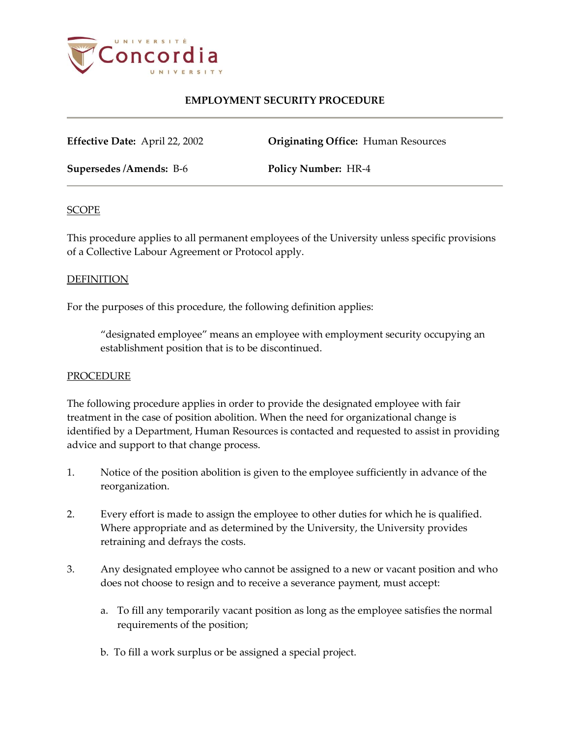

# **EMPLOYMENT SECURITY PROCEDURE**

**Effective Date:** April 22, 2002 **Originating Office:** Human Resources

**Supersedes /Amends:** B-6 **Policy Number:** HR-4

## **SCOPE**

This procedure applies to all permanent employees of the University unless specific provisions of a Collective Labour Agreement or Protocol apply.

## DEFINITION

For the purposes of this procedure, the following definition applies:

"designated employee" means an employee with employment security occupying an establishment position that is to be discontinued.

## **PROCEDURE**

The following procedure applies in order to provide the designated employee with fair treatment in the case of position abolition. When the need for organizational change is identified by a Department, Human Resources is contacted and requested to assist in providing advice and support to that change process.

- 1. Notice of the position abolition is given to the employee sufficiently in advance of the reorganization.
- 2. Every effort is made to assign the employee to other duties for which he is qualified. Where appropriate and as determined by the University, the University provides retraining and defrays the costs.
- 3. Any designated employee who cannot be assigned to a new or vacant position and who does not choose to resign and to receive a severance payment, must accept:
	- a. To fill any temporarily vacant position as long as the employee satisfies the normal requirements of the position;
	- b. To fill a work surplus or be assigned a special project.